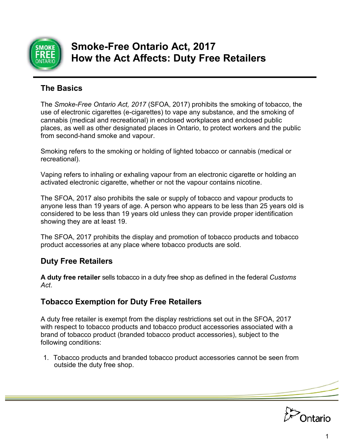

# **Smoke-Free Ontario Act, 2017 How the Act Affects: Duty Free Retailers**

# **The Basics**

The *Smoke-Free Ontario Act, 2017* (SFOA, 2017) prohibits the smoking of tobacco, the use of electronic cigarettes (e-cigarettes) to vape any substance, and the smoking of cannabis (medical and recreational) in enclosed workplaces and enclosed public places, as well as other designated places in Ontario, to protect workers and the public from second-hand smoke and vapour.

Smoking refers to the smoking or holding of lighted tobacco or cannabis (medical or recreational).

Vaping refers to inhaling or exhaling vapour from an electronic cigarette or holding an activated electronic cigarette, whether or not the vapour contains nicotine.

The SFOA, 2017 also prohibits the sale or supply of tobacco and vapour products to anyone less than 19 years of age. A person who appears to be less than 25 years old is considered to be less than 19 years old unless they can provide proper identification showing they are at least 19.

The SFOA, 2017 prohibits the display and promotion of tobacco products and tobacco product accessories at any place where tobacco products are sold.

# **Duty Free Retailers**

**A duty free retailer** sells tobacco in a duty free shop as defined in the federal *Customs Act*.

# **Tobacco Exemption for Duty Free Retailers**

A duty free retailer is exempt from the display restrictions set out in the SFOA, 2017 with respect to tobacco products and tobacco product accessories associated with a brand of tobacco product (branded tobacco product accessories), subject to the following conditions:

1. Tobacco products and branded tobacco product accessories cannot be seen from outside the duty free shop.

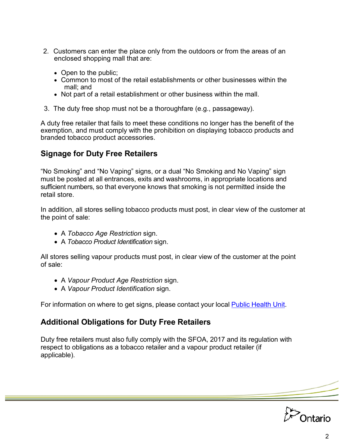- 2. Customers can enter the place only from the outdoors or from the areas of an enclosed shopping mall that are:
	- Open to the public:
	- Common to most of the retail establishments or other businesses within the mall; and
	- Not part of a retail establishment or other business within the mall.
- 3. The duty free shop must not be a thoroughfare (e.g., passageway).

A duty free retailer that fails to meet these conditions no longer has the benefit of the exemption, and must comply with the prohibition on displaying tobacco products and branded tobacco product accessories.

# **Signage for Duty Free Retailers**

"No Smoking" and "No Vaping" signs, or a dual "No Smoking and No Vaping" sign must be posted at all entrances, exits and washrooms, in appropriate locations and sufficient numbers, so that everyone knows that smoking is not permitted inside the retail store.

In addition, all stores selling tobacco products must post, in clear view of the customer at the point of sale:

- A *Tobacco Age Restriction* sign.
- A *Tobacco Product Identification* sign.

All stores selling vapour products must post, in clear view of the customer at the point of sale:

- A *Vapour Product Age Restriction* sign.
- A *Vapour Product Identification* sign.

For information on where to get signs, please contact your local **Public [Health](http://www.health.gov.on.ca/en/common/system/services/phu/locations.aspx) Unit.** 

# **Additional Obligations for Duty Free Retailers**

Duty free retailers must also fully comply with the SFOA, 2017 and its regulation with respect to obligations as a tobacco retailer and a vapour product retailer (if applicable).

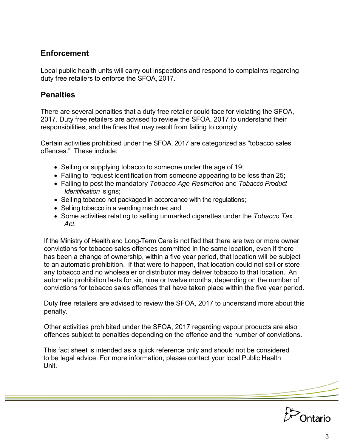# **Enforcement**

Local public health units will carry out inspections and respond to complaints regarding duty free retailers to enforce the SFOA, 2017.

#### **Penalties**

There are several penalties that a duty free retailer could face for violating the SFOA, 2017. Duty free retailers are advised to review the SFOA, 2017 to understand their responsibilities, and the fines that may result from failing to comply.

Certain activities prohibited under the SFOA, 2017 are categorized as "tobacco sales offences." These include:

- Selling or supplying tobacco to someone under the age of 19;
- Failing to request identification from someone appearing to be less than 25;
- Failing to post the mandatory *Tobacco Age Restriction* and *Tobacco Product Identification* signs;
- Selling tobacco not packaged in accordance with the regulations;
- Selling tobacco in a vending machine; and
- Some activities relating to selling unmarked cigarettes under the *Tobacco Tax Act.*

If the Ministry of Health and Long-Term Care is notified that there are two or more owner convictions for tobacco sales offences committed in the same location, even if there has been a change of ownership, within a five year period, that location will be subject to an automatic prohibition. If that were to happen, that location could not sell or store any tobacco and no wholesaler or distributor may deliver tobacco to that location. An automatic prohibition lasts for six, nine or twelve months, depending on the number of convictions for tobacco sales offences that have taken place within the five year period.

Duty free retailers are advised to review the SFOA, 2017 to understand more about this penalty.

Other activities prohibited under the SFOA, 2017 regarding vapour products are also offences subject to penalties depending on the offence and the number of convictions.

This fact sheet is intended as a quick reference only and should not be considered to be legal advice. For more information, please contact your local Public Health Unit.